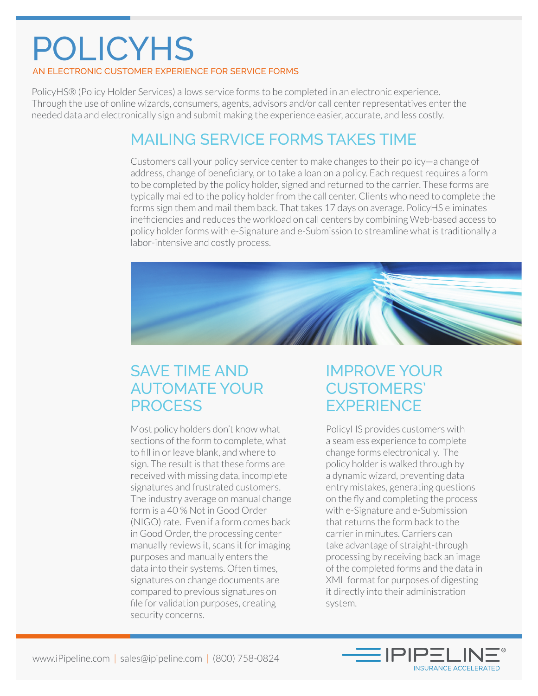# POLICYHS

#### AN ELECTRONIC CUSTOMER EXPERIENCE FOR SERVICE FORMS

PolicyHS® (Policy Holder Services) allows service forms to be completed in an electronic experience. Through the use of online wizards, consumers, agents, advisors and/or call center representatives enter the needed data and electronically sign and submit making the experience easier, accurate, and less costly.

### MAILING SERVICE FORMS TAKES TIME

Customers call your policy service center to make changes to their policy—a change of address, change of beneficiary, or to take a loan on a policy. Each request requires a form to be completed by the policy holder, signed and returned to the carrier. These forms are typically mailed to the policy holder from the call center. Clients who need to complete the forms sign them and mail them back. That takes 17 days on average. PolicyHS eliminates inefficiencies and reduces the workload on call centers by combining Web-based access to policy holder forms with e-Signature and e-Submission to streamline what is traditionally a labor-intensive and costly process.



# SAVE TIME AND AUTOMATE YOUR **PROCESS**

Most policy holders don't know what sections of the form to complete, what to fill in or leave blank, and where to sign. The result is that these forms are received with missing data, incomplete signatures and frustrated customers. The industry average on manual change form is a 40 % Not in Good Order (NIGO) rate. Even if a form comes back in Good Order, the processing center manually reviews it, scans it for imaging purposes and manually enters the data into their systems. Often times, signatures on change documents are compared to previous signatures on file for validation purposes, creating security concerns.

# IMPROVE YOUR CUSTOMERS' **EXPERIENCE**

PolicyHS provides customers with a seamless experience to complete change forms electronically. The policy holder is walked through by a dynamic wizard, preventing data entry mistakes, generating questions on the fly and completing the process with e-Signature and e-Submission that returns the form back to the carrier in minutes. Carriers can take advantage of straight-through processing by receiving back an image of the completed forms and the data in XML format for purposes of digesting it directly into their administration system.